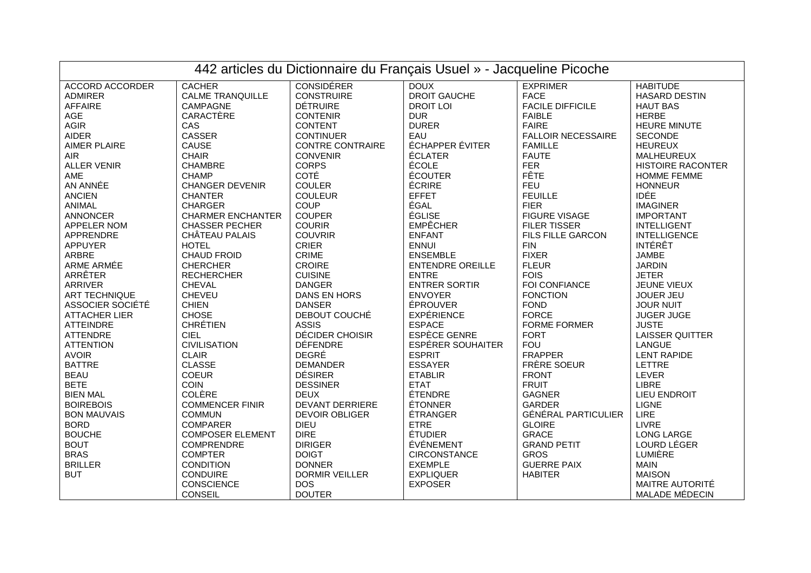| 442 articles du Dictionnaire du Français Usuel » - Jacqueline Picoche |                          |                         |                         |                            |                          |  |  |  |
|-----------------------------------------------------------------------|--------------------------|-------------------------|-------------------------|----------------------------|--------------------------|--|--|--|
| <b>ACCORD ACCORDER</b>                                                | <b>CACHER</b>            | <b>CONSIDÉRER</b>       | <b>DOUX</b>             | <b>EXPRIMER</b>            | <b>HABITUDE</b>          |  |  |  |
| ADMIRER                                                               | <b>CALME TRANQUILLE</b>  | <b>CONSTRUIRE</b>       | <b>DROIT GAUCHE</b>     | <b>FACE</b>                | HASARD DESTIN            |  |  |  |
| <b>AFFAIRE</b>                                                        | CAMPAGNE                 | <b>DÉTRUIRE</b>         | <b>DROIT LOI</b>        | <b>FACILE DIFFICILE</b>    | <b>HAUT BAS</b>          |  |  |  |
| AGE                                                                   | CARACTÈRE                | <b>CONTENIR</b>         | <b>DUR</b>              | <b>FAIBLE</b>              | <b>HERBE</b>             |  |  |  |
| <b>AGIR</b>                                                           | CAS                      | <b>CONTENT</b>          | <b>DURER</b>            | <b>FAIRE</b>               | <b>HEURE MINUTE</b>      |  |  |  |
| <b>AIDER</b>                                                          | CASSER                   | <b>CONTINUER</b>        | EAU                     | <b>FALLOIR NECESSAIRE</b>  | <b>SECONDE</b>           |  |  |  |
| <b>AIMER PLAIRE</b>                                                   | CAUSE                    | <b>CONTRE CONTRAIRE</b> | ÉCHAPPER ÉVITER         | <b>FAMILLE</b>             | <b>HEUREUX</b>           |  |  |  |
| AIR                                                                   | <b>CHAIR</b>             | <b>CONVENIR</b>         | ÉCLATER                 | <b>FAUTE</b>               | MALHEUREUX               |  |  |  |
| <b>ALLER VENIR</b>                                                    | <b>CHAMBRE</b>           | <b>CORPS</b>            | ÉCOLE                   | <b>FER</b>                 | <b>HISTOIRE RACONTER</b> |  |  |  |
| AME                                                                   | <b>CHAMP</b>             | <b>COTÉ</b>             | ÉCOUTER                 | <b>FÊTE</b>                | <b>HOMME FEMME</b>       |  |  |  |
| AN ANNÉE                                                              | <b>CHANGER DEVENIR</b>   | <b>COULER</b>           | ÉCRIRE                  | <b>FEU</b>                 | <b>HONNEUR</b>           |  |  |  |
| <b>ANCIEN</b>                                                         | <b>CHANTER</b>           | <b>COULEUR</b>          | <b>EFFET</b>            | <b>FEUILLE</b>             | <b>IDÉE</b>              |  |  |  |
| ANIMAL                                                                | <b>CHARGER</b>           | COUP                    | ÉGAL                    | <b>FIER</b>                | <b>IMAGINER</b>          |  |  |  |
| <b>ANNONCER</b>                                                       | <b>CHARMER ENCHANTER</b> | <b>COUPER</b>           | ÉGLISE                  | <b>FIGURE VISAGE</b>       | <b>IMPORTANT</b>         |  |  |  |
| APPELER NOM                                                           | <b>CHASSER PECHER</b>    | <b>COURIR</b>           | <b>EMPÊCHER</b>         | <b>FILER TISSER</b>        | <b>INTELLIGENT</b>       |  |  |  |
| APPRENDRE                                                             | CHÂTEAU PALAIS           | <b>COUVRIR</b>          | <b>ENFANT</b>           | FILS FILLE GARCON          | <b>INTELLIGENCE</b>      |  |  |  |
| <b>APPUYER</b>                                                        | <b>HOTEL</b>             | <b>CRIER</b>            | <b>ENNUI</b>            | <b>FIN</b>                 | <b>INTÉRÊT</b>           |  |  |  |
| ARBRE                                                                 | <b>CHAUD FROID</b>       | CRIME                   | <b>ENSEMBLE</b>         | <b>FIXER</b>               | <b>JAMBE</b>             |  |  |  |
| ARME ARMÉE                                                            | <b>CHERCHER</b>          | CROIRE                  | <b>ENTENDRE OREILLE</b> | <b>FLEUR</b>               | <b>JARDIN</b>            |  |  |  |
| ARRÊTER                                                               | <b>RECHERCHER</b>        | <b>CUISINE</b>          | <b>ENTRE</b>            | <b>FOIS</b>                | <b>JETER</b>             |  |  |  |
| ARRIVER                                                               | CHEVAL                   | <b>DANGER</b>           | <b>ENTRER SORTIR</b>    | FOI CONFIANCE              | JEUNE VIEUX              |  |  |  |
| <b>ART TECHNIQUE</b>                                                  | <b>CHEVEU</b>            | DANS EN HORS            | <b>ENVOYER</b>          | <b>FONCTION</b>            | JOUER JEU                |  |  |  |
| ASSOCIER SOCIÉTÉ                                                      | <b>CHIEN</b>             | <b>DANSER</b>           | ÉPROUVER                | <b>FOND</b>                | <b>JOUR NUIT</b>         |  |  |  |
| <b>ATTACHER LIER</b>                                                  | <b>CHOSE</b>             | DEBOUT COUCHÉ           | <b>EXPÉRIENCE</b>       | <b>FORCE</b>               | <b>JUGER JUGE</b>        |  |  |  |
| <b>ATTEINDRE</b>                                                      | <b>CHRÉTIEN</b>          | <b>ASSIS</b>            | <b>ESPACE</b>           | <b>FORME FORMER</b>        | <b>JUSTE</b>             |  |  |  |
| ATTENDRE                                                              | <b>CIEL</b>              | DÉCIDER CHOISIR         | <b>ESPÈCE GENRE</b>     | <b>FORT</b>                | <b>LAISSER QUITTER</b>   |  |  |  |
| <b>ATTENTION</b>                                                      | <b>CIVILISATION</b>      | <b>DÉFENDRE</b>         | ESPÉRER SOUHAITER       | <b>FOU</b>                 | LANGUE                   |  |  |  |
| <b>AVOIR</b>                                                          | <b>CLAIR</b>             | <b>DEGRÉ</b>            | <b>ESPRIT</b>           | <b>FRAPPER</b>             | <b>LENT RAPIDE</b>       |  |  |  |
| <b>BATTRE</b>                                                         | <b>CLASSE</b>            | <b>DEMANDER</b>         | <b>ESSAYER</b>          | FRÈRE SOEUR                | <b>LETTRE</b>            |  |  |  |
| <b>BEAU</b>                                                           | <b>COEUR</b>             | <b>DÉSIRER</b>          | <b>ETABLIR</b>          | <b>FRONT</b>               | <b>LEVER</b>             |  |  |  |
| <b>BETE</b>                                                           | <b>COIN</b>              | <b>DESSINER</b>         | <b>ETAT</b>             | <b>FRUIT</b>               | <b>LIBRE</b>             |  |  |  |
| <b>BIEN MAL</b>                                                       | COLÈRE                   | <b>DEUX</b>             | ÉTENDRE                 | <b>GAGNER</b>              | <b>LIEU ENDROIT</b>      |  |  |  |
| <b>BOIREBOIS</b>                                                      | <b>COMMENCER FINIR</b>   | <b>DEVANT DERRIERE</b>  | <b>ÉTONNER</b>          | <b>GARDER</b>              | <b>LIGNE</b>             |  |  |  |
| <b>BON MAUVAIS</b>                                                    | <b>COMMUN</b>            | <b>DEVOIR OBLIGER</b>   | <b>ÉTRANGER</b>         | <b>GÉNÉRAL PARTICULIER</b> | <b>LIRE</b>              |  |  |  |
| <b>BORD</b>                                                           | <b>COMPARER</b>          | <b>DIEU</b>             | <b>ETRE</b>             | <b>GLOIRE</b>              | <b>LIVRE</b>             |  |  |  |
| <b>BOUCHE</b>                                                         | <b>COMPOSER ELEMENT</b>  | <b>DIRE</b>             | <b>ÉTUDIER</b>          | <b>GRACE</b>               | <b>LONG LARGE</b>        |  |  |  |
| <b>BOUT</b>                                                           | COMPRENDRE               | <b>DIRIGER</b>          | ÉVÉNEMENT               | <b>GRAND PETIT</b>         | LOURD LÉGER              |  |  |  |
| <b>BRAS</b>                                                           | <b>COMPTER</b>           | <b>DOIGT</b>            | CIRCONSTANCE            | <b>GROS</b>                | LUMIÈRE                  |  |  |  |
| <b>BRILLER</b>                                                        | <b>CONDITION</b>         | <b>DONNER</b>           | <b>EXEMPLE</b>          | <b>GUERRE PAIX</b>         | <b>MAIN</b>              |  |  |  |
| <b>BUT</b>                                                            | CONDUIRE                 | <b>DORMIR VEILLER</b>   | <b>EXPLIQUER</b>        | <b>HABITER</b>             | <b>MAISON</b>            |  |  |  |
|                                                                       | CONSCIENCE               | <b>DOS</b>              | <b>EXPOSER</b>          |                            | MAITRE AUTORITÉ          |  |  |  |
|                                                                       | CONSEIL                  | <b>DOUTER</b>           |                         |                            | MALADE MÉDECIN           |  |  |  |